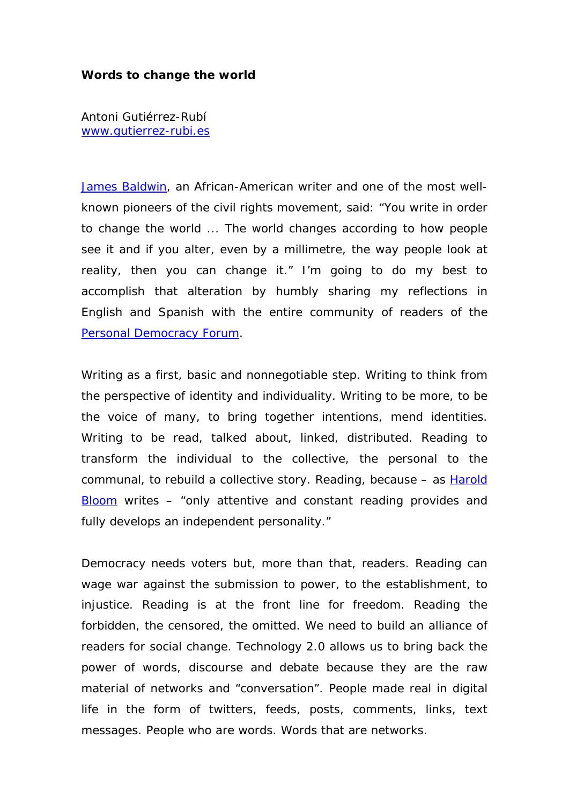## **Words to change the world**

Antoni Gutiérrez-Rubí [www.gutierrez-rubi.es](http://www.gutierrez-rubi.es/)

[James Baldwin,](http://en.wikipedia.org/wiki/James_Baldwin_(writer)) an African-American writer and one of the most wellknown pioneers of the civil rights movement, said: "You write in order to change the world ... The world changes according to how people see it and if you alter, even by a millimetre, the way people look at reality, then you can change it." I'm going to do my best to accomplish that alteration by humbly sharing my reflections in English and Spanish with the entire community of readers of the *[Personal Democracy Forum](http://personaldemocracy.com/)*.

Writing as a first, basic and nonnegotiable step. Writing to think from the perspective of identity and individuality. Writing to be more, to be the voice of many, to bring together intentions, mend identities. Writing to be read, talked about, linked, distributed. Reading to transform the individual to the collective, the personal to the communal, to rebuild a collective story. Reading, because – as [Harold](http://en.wikipedia.org/wiki/Harold_Bloom)  [Bloom](http://en.wikipedia.org/wiki/Harold_Bloom) writes – "only attentive and constant reading provides and fully develops an independent personality."

Democracy needs voters but, more than that, readers. Reading can wage war against the submission to power, to the establishment, to injustice. Reading is at the front line for freedom. Reading the forbidden, the censored, the omitted. We need to build an alliance of readers for social change. Technology 2.0 allows us to bring back the power of words, discourse and debate because they are the raw material of networks and "conversation". People made real in digital life in the form of twitters, feeds, posts, comments, links, text messages. People who are words. Words that are networks.